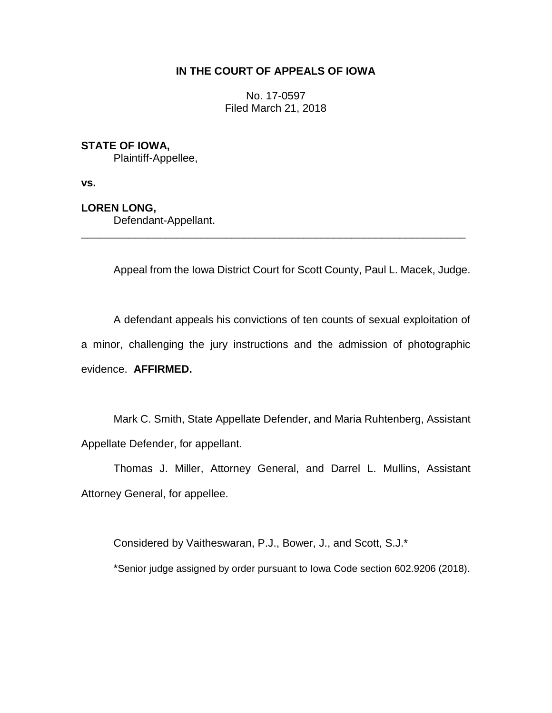# **IN THE COURT OF APPEALS OF IOWA**

No. 17-0597 Filed March 21, 2018

# **STATE OF IOWA,**

Plaintiff-Appellee,

**vs.**

## **LOREN LONG,**

Defendant-Appellant.

Appeal from the Iowa District Court for Scott County, Paul L. Macek, Judge.

A defendant appeals his convictions of ten counts of sexual exploitation of a minor, challenging the jury instructions and the admission of photographic evidence. **AFFIRMED.**

\_\_\_\_\_\_\_\_\_\_\_\_\_\_\_\_\_\_\_\_\_\_\_\_\_\_\_\_\_\_\_\_\_\_\_\_\_\_\_\_\_\_\_\_\_\_\_\_\_\_\_\_\_\_\_\_\_\_\_\_\_\_\_\_

Mark C. Smith, State Appellate Defender, and Maria Ruhtenberg, Assistant Appellate Defender, for appellant.

Thomas J. Miller, Attorney General, and Darrel L. Mullins, Assistant Attorney General, for appellee.

Considered by Vaitheswaran, P.J., Bower, J., and Scott, S.J.\*

\*Senior judge assigned by order pursuant to Iowa Code section 602.9206 (2018).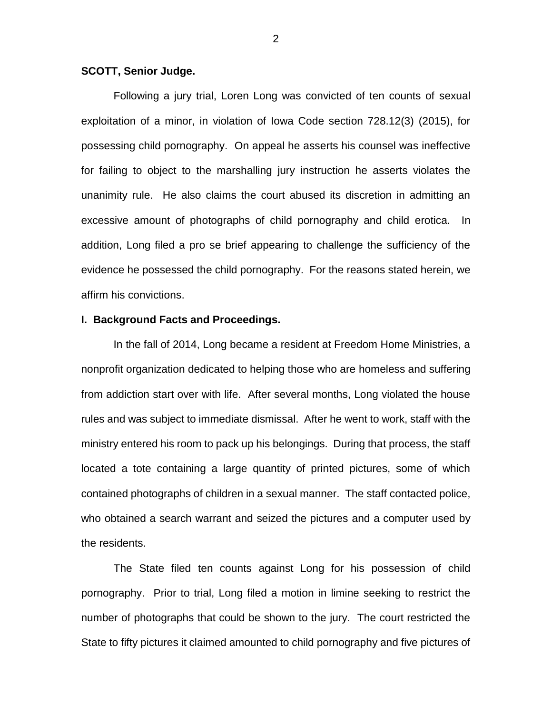## **SCOTT, Senior Judge.**

Following a jury trial, Loren Long was convicted of ten counts of sexual exploitation of a minor, in violation of Iowa Code section 728.12(3) (2015), for possessing child pornography. On appeal he asserts his counsel was ineffective for failing to object to the marshalling jury instruction he asserts violates the unanimity rule. He also claims the court abused its discretion in admitting an excessive amount of photographs of child pornography and child erotica. In addition, Long filed a pro se brief appearing to challenge the sufficiency of the evidence he possessed the child pornography. For the reasons stated herein, we affirm his convictions.

#### **I. Background Facts and Proceedings.**

In the fall of 2014, Long became a resident at Freedom Home Ministries, a nonprofit organization dedicated to helping those who are homeless and suffering from addiction start over with life. After several months, Long violated the house rules and was subject to immediate dismissal. After he went to work, staff with the ministry entered his room to pack up his belongings. During that process, the staff located a tote containing a large quantity of printed pictures, some of which contained photographs of children in a sexual manner. The staff contacted police, who obtained a search warrant and seized the pictures and a computer used by the residents.

The State filed ten counts against Long for his possession of child pornography. Prior to trial, Long filed a motion in limine seeking to restrict the number of photographs that could be shown to the jury. The court restricted the State to fifty pictures it claimed amounted to child pornography and five pictures of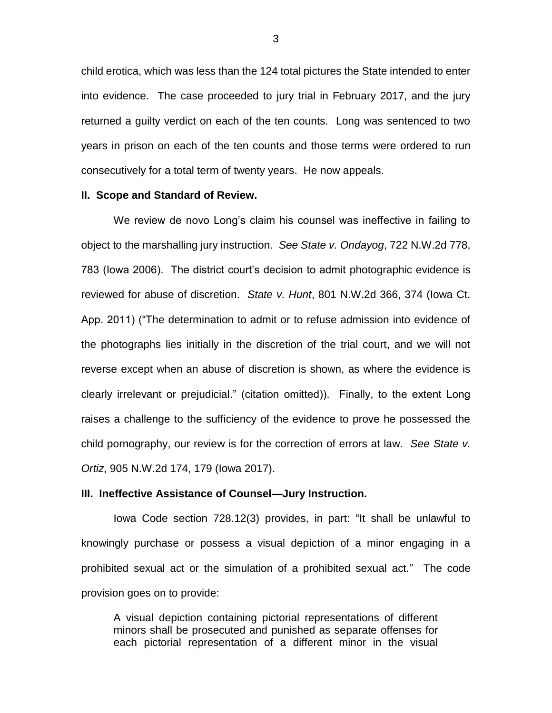child erotica, which was less than the 124 total pictures the State intended to enter into evidence. The case proceeded to jury trial in February 2017, and the jury returned a guilty verdict on each of the ten counts. Long was sentenced to two years in prison on each of the ten counts and those terms were ordered to run consecutively for a total term of twenty years. He now appeals.

#### **II. Scope and Standard of Review.**

We review de novo Long's claim his counsel was ineffective in failing to object to the marshalling jury instruction. *See State v. Ondayog*, 722 N.W.2d 778, 783 (Iowa 2006). The district court's decision to admit photographic evidence is reviewed for abuse of discretion. *State v. Hunt*, 801 N.W.2d 366, 374 (Iowa Ct. App. 2011) ("The determination to admit or to refuse admission into evidence of the photographs lies initially in the discretion of the trial court, and we will not reverse except when an abuse of discretion is shown, as where the evidence is clearly irrelevant or prejudicial." (citation omitted)). Finally, to the extent Long raises a challenge to the sufficiency of the evidence to prove he possessed the child pornography, our review is for the correction of errors at law. *See State v. Ortiz*, 905 N.W.2d 174, 179 (Iowa 2017).

#### **III. Ineffective Assistance of Counsel—Jury Instruction.**

Iowa Code section 728.12(3) provides, in part: "It shall be unlawful to knowingly purchase or possess a visual depiction of a minor engaging in a prohibited sexual act or the simulation of a prohibited sexual act." The code provision goes on to provide:

A visual depiction containing pictorial representations of different minors shall be prosecuted and punished as separate offenses for each pictorial representation of a different minor in the visual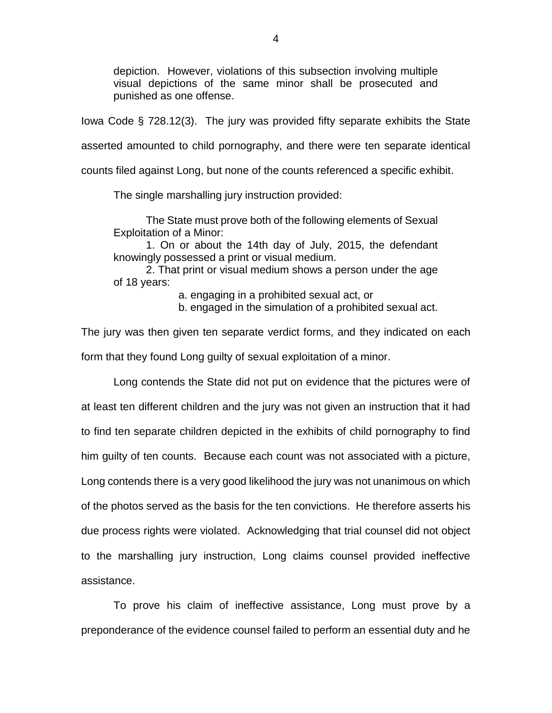depiction. However, violations of this subsection involving multiple visual depictions of the same minor shall be prosecuted and punished as one offense.

Iowa Code § 728.12(3). The jury was provided fifty separate exhibits the State

asserted amounted to child pornography, and there were ten separate identical

counts filed against Long, but none of the counts referenced a specific exhibit.

The single marshalling jury instruction provided:

The State must prove both of the following elements of Sexual Exploitation of a Minor:

1. On or about the 14th day of July, 2015, the defendant knowingly possessed a print or visual medium.

2. That print or visual medium shows a person under the age of 18 years:

a. engaging in a prohibited sexual act, or

b. engaged in the simulation of a prohibited sexual act.

The jury was then given ten separate verdict forms, and they indicated on each form that they found Long guilty of sexual exploitation of a minor.

Long contends the State did not put on evidence that the pictures were of at least ten different children and the jury was not given an instruction that it had to find ten separate children depicted in the exhibits of child pornography to find him guilty of ten counts. Because each count was not associated with a picture, Long contends there is a very good likelihood the jury was not unanimous on which of the photos served as the basis for the ten convictions. He therefore asserts his due process rights were violated. Acknowledging that trial counsel did not object to the marshalling jury instruction, Long claims counsel provided ineffective assistance.

To prove his claim of ineffective assistance, Long must prove by a preponderance of the evidence counsel failed to perform an essential duty and he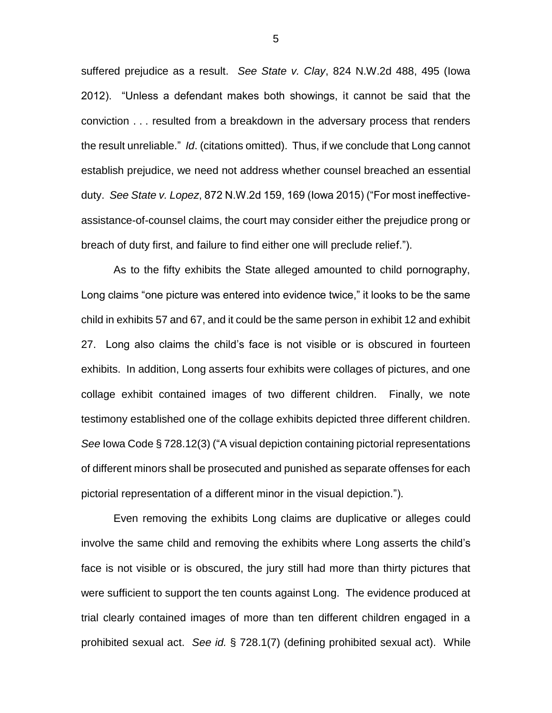suffered prejudice as a result. *See State v. Clay*, 824 N.W.2d 488, 495 (Iowa 2012). "Unless a defendant makes both showings, it cannot be said that the conviction . . . resulted from a breakdown in the adversary process that renders the result unreliable." *Id*. (citations omitted). Thus, if we conclude that Long cannot establish prejudice, we need not address whether counsel breached an essential duty. *See State v. Lopez*, 872 N.W.2d 159, 169 (Iowa 2015) ("For most ineffectiveassistance-of-counsel claims, the court may consider either the prejudice prong or breach of duty first, and failure to find either one will preclude relief.").

As to the fifty exhibits the State alleged amounted to child pornography, Long claims "one picture was entered into evidence twice," it looks to be the same child in exhibits 57 and 67, and it could be the same person in exhibit 12 and exhibit 27. Long also claims the child's face is not visible or is obscured in fourteen exhibits. In addition, Long asserts four exhibits were collages of pictures, and one collage exhibit contained images of two different children. Finally, we note testimony established one of the collage exhibits depicted three different children. *See* Iowa Code § 728.12(3) ("A visual depiction containing pictorial representations of different minors shall be prosecuted and punished as separate offenses for each pictorial representation of a different minor in the visual depiction.").

Even removing the exhibits Long claims are duplicative or alleges could involve the same child and removing the exhibits where Long asserts the child's face is not visible or is obscured, the jury still had more than thirty pictures that were sufficient to support the ten counts against Long. The evidence produced at trial clearly contained images of more than ten different children engaged in a prohibited sexual act. *See id.* § 728.1(7) (defining prohibited sexual act). While

5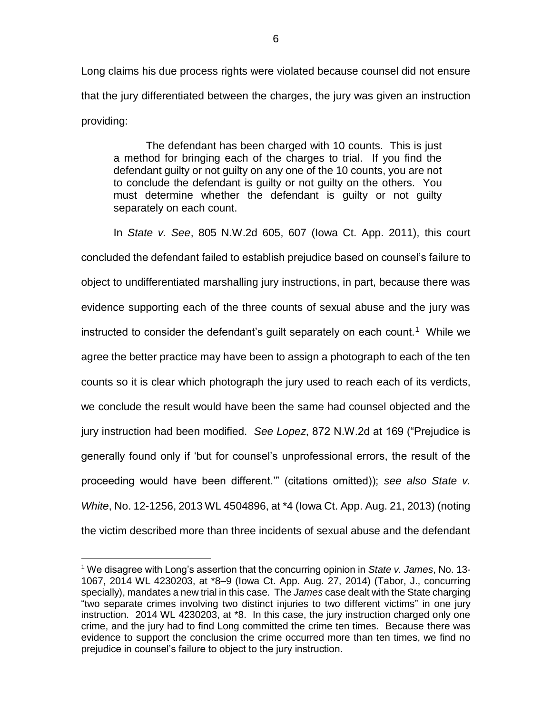Long claims his due process rights were violated because counsel did not ensure that the jury differentiated between the charges, the jury was given an instruction providing:

The defendant has been charged with 10 counts. This is just a method for bringing each of the charges to trial. If you find the defendant guilty or not guilty on any one of the 10 counts, you are not to conclude the defendant is guilty or not guilty on the others. You must determine whether the defendant is guilty or not guilty separately on each count.

In *State v. See*, 805 N.W.2d 605, 607 (Iowa Ct. App. 2011), this court concluded the defendant failed to establish prejudice based on counsel's failure to object to undifferentiated marshalling jury instructions, in part, because there was evidence supporting each of the three counts of sexual abuse and the jury was instructed to consider the defendant's guilt separately on each count.<sup>1</sup> While we agree the better practice may have been to assign a photograph to each of the ten counts so it is clear which photograph the jury used to reach each of its verdicts, we conclude the result would have been the same had counsel objected and the jury instruction had been modified. *See Lopez*, 872 N.W.2d at 169 ("Prejudice is generally found only if 'but for counsel's unprofessional errors, the result of the proceeding would have been different.'" (citations omitted)); *see also State v. White*, No. 12-1256, 2013 WL 4504896, at \*4 (Iowa Ct. App. Aug. 21, 2013) (noting the victim described more than three incidents of sexual abuse and the defendant

 $\overline{a}$ 

<sup>1</sup> We disagree with Long's assertion that the concurring opinion in *State v. James*, No. 13- 1067, 2014 WL 4230203, at \*8–9 (Iowa Ct. App. Aug. 27, 2014) (Tabor, J., concurring specially), mandates a new trial in this case. The *James* case dealt with the State charging "two separate crimes involving two distinct injuries to two different victims" in one jury instruction. 2014 WL 4230203, at \*8. In this case, the jury instruction charged only one crime, and the jury had to find Long committed the crime ten times. Because there was evidence to support the conclusion the crime occurred more than ten times, we find no prejudice in counsel's failure to object to the jury instruction.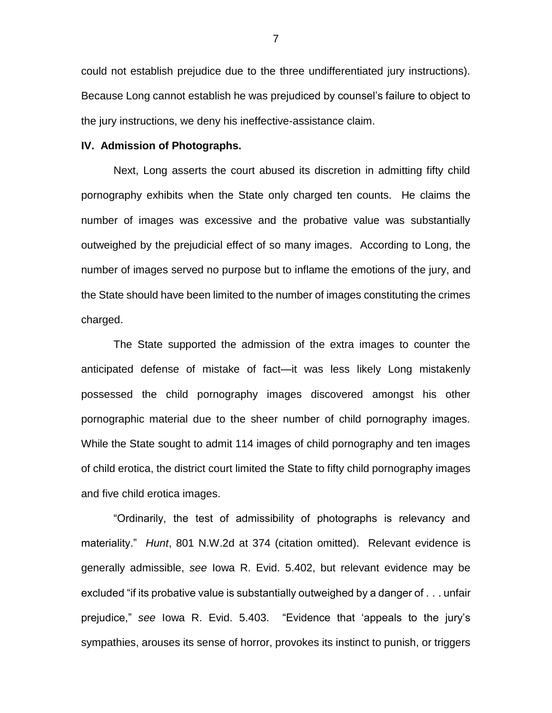could not establish prejudice due to the three undifferentiated jury instructions). Because Long cannot establish he was prejudiced by counsel's failure to object to the jury instructions, we deny his ineffective-assistance claim.

#### **IV. Admission of Photographs.**

Next, Long asserts the court abused its discretion in admitting fifty child pornography exhibits when the State only charged ten counts. He claims the number of images was excessive and the probative value was substantially outweighed by the prejudicial effect of so many images. According to Long, the number of images served no purpose but to inflame the emotions of the jury, and the State should have been limited to the number of images constituting the crimes charged.

The State supported the admission of the extra images to counter the anticipated defense of mistake of fact—it was less likely Long mistakenly possessed the child pornography images discovered amongst his other pornographic material due to the sheer number of child pornography images. While the State sought to admit 114 images of child pornography and ten images of child erotica, the district court limited the State to fifty child pornography images and five child erotica images.

"Ordinarily, the test of admissibility of photographs is relevancy and materiality." *Hunt*, 801 N.W.2d at 374 (citation omitted). Relevant evidence is generally admissible, *see* Iowa R. Evid. 5.402, but relevant evidence may be excluded "if its probative value is substantially outweighed by a danger of . . . unfair prejudice," *see* Iowa R. Evid. 5.403. "Evidence that 'appeals to the jury's sympathies, arouses its sense of horror, provokes its instinct to punish, or triggers

7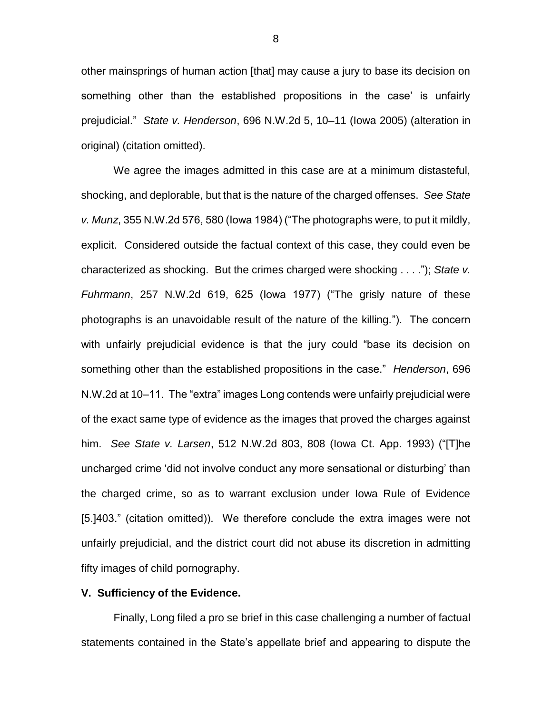other mainsprings of human action [that] may cause a jury to base its decision on something other than the established propositions in the case' is unfairly prejudicial." *State v. Henderson*, 696 N.W.2d 5, 10–11 (Iowa 2005) (alteration in original) (citation omitted).

We agree the images admitted in this case are at a minimum distasteful, shocking, and deplorable, but that is the nature of the charged offenses. *See State v. Munz*, 355 N.W.2d 576, 580 (Iowa 1984) ("The photographs were, to put it mildly, explicit. Considered outside the factual context of this case, they could even be characterized as shocking. But the crimes charged were shocking . . . ."); *State v. Fuhrmann*, 257 N.W.2d 619, 625 (Iowa 1977) ("The grisly nature of these photographs is an unavoidable result of the nature of the killing."). The concern with unfairly prejudicial evidence is that the jury could "base its decision on something other than the established propositions in the case." *Henderson*, 696 N.W.2d at 10–11. The "extra" images Long contends were unfairly prejudicial were of the exact same type of evidence as the images that proved the charges against him. *See State v. Larsen*, 512 N.W.2d 803, 808 (Iowa Ct. App. 1993) ("[T]he uncharged crime 'did not involve conduct any more sensational or disturbing' than the charged crime, so as to warrant exclusion under Iowa Rule of Evidence [5.]403." (citation omitted)). We therefore conclude the extra images were not unfairly prejudicial, and the district court did not abuse its discretion in admitting fifty images of child pornography.

## **V. Sufficiency of the Evidence.**

Finally, Long filed a pro se brief in this case challenging a number of factual statements contained in the State's appellate brief and appearing to dispute the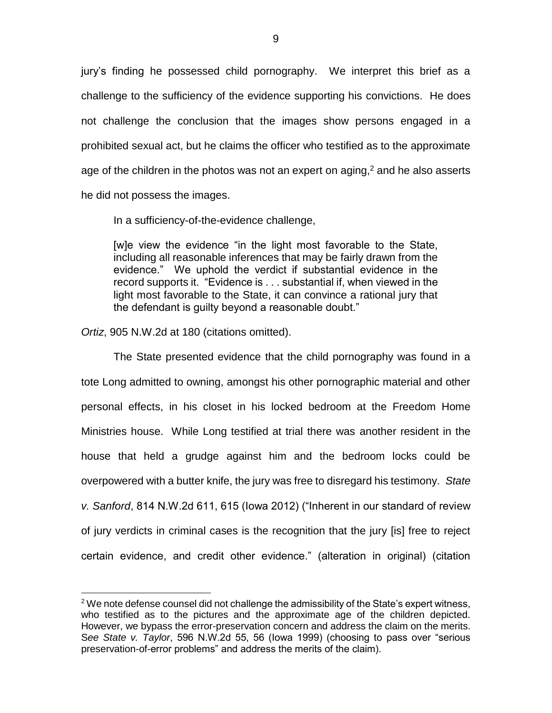jury's finding he possessed child pornography. We interpret this brief as a challenge to the sufficiency of the evidence supporting his convictions. He does not challenge the conclusion that the images show persons engaged in a prohibited sexual act, but he claims the officer who testified as to the approximate age of the children in the photos was not an expert on aging,<sup>2</sup> and he also asserts he did not possess the images.

In a sufficiency-of-the-evidence challenge,

[w]e view the evidence "in the light most favorable to the State, including all reasonable inferences that may be fairly drawn from the evidence." We uphold the verdict if substantial evidence in the record supports it. "Evidence is . . . substantial if, when viewed in the light most favorable to the State, it can convince a rational jury that the defendant is guilty beyond a reasonable doubt."

*Ortiz*, 905 N.W.2d at 180 (citations omitted).

 $\overline{a}$ 

The State presented evidence that the child pornography was found in a tote Long admitted to owning, amongst his other pornographic material and other personal effects, in his closet in his locked bedroom at the Freedom Home Ministries house. While Long testified at trial there was another resident in the house that held a grudge against him and the bedroom locks could be overpowered with a butter knife, the jury was free to disregard his testimony. *State v. Sanford*, 814 N.W.2d 611, 615 (Iowa 2012) ("Inherent in our standard of review of jury verdicts in criminal cases is the recognition that the jury [is] free to reject certain evidence, and credit other evidence." (alteration in original) (citation

 $2$  We note defense counsel did not challenge the admissibility of the State's expert witness, who testified as to the pictures and the approximate age of the children depicted. However, we bypass the error-preservation concern and address the claim on the merits. S*ee State v. Taylor*, 596 N.W.2d 55, 56 (Iowa 1999) (choosing to pass over "serious preservation-of-error problems" and address the merits of the claim).